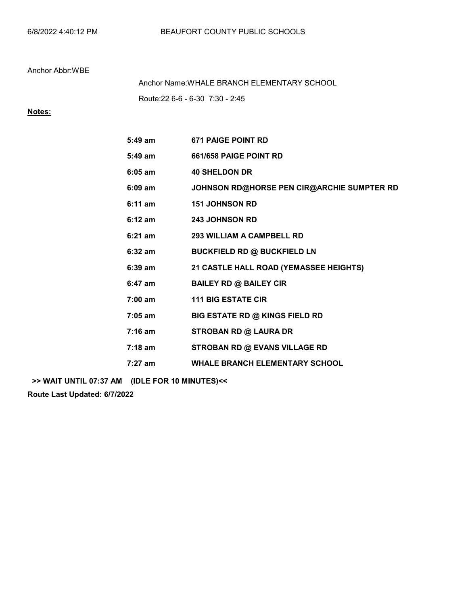Route:22 6-6 - 6-30 7:30 - 2:45 Anchor Name:WHALE BRANCH ELEMENTARY SCHOOL

## Notes:

| $5:49$ am         | <b>671 PAIGE POINT RD</b>                  |
|-------------------|--------------------------------------------|
| $5:49$ am         | 661/658 PAIGE POINT RD                     |
| $6:05$ am         | <b>40 SHELDON DR</b>                       |
| $6:09$ am         | JOHNSON RD@HORSE PEN CIR@ARCHIE SUMPTER RD |
| $6:11$ am         | <b>151 JOHNSON RD</b>                      |
| $6:12 \text{ am}$ | <b>243 JOHNSON RD</b>                      |
| $6:21$ am         | 293 WILLIAM A CAMPBELL RD                  |
| $6:32$ am         | <b>BUCKFIELD RD @ BUCKFIELD LN</b>         |
| $6:39$ am         | 21 CASTLE HALL ROAD (YEMASSEE HEIGHTS)     |
| $6:47$ am         | <b>BAILEY RD @ BAILEY CIR</b>              |
| $7:00 \text{ am}$ | <b>111 BIG ESTATE CIR</b>                  |
| 7:05 am           | <b>BIG ESTATE RD @ KINGS FIELD RD</b>      |
| $7:16$ am         | <b>STROBAN RD @ LAURA DR</b>               |
| 7:18 am           | <b>STROBAN RD @ EVANS VILLAGE RD</b>       |
| $7:27$ am         | <b>WHALE BRANCH ELEMENTARY SCHOOL</b>      |

>> WAIT UNTIL 07:37 AM (IDLE FOR 10 MINUTES)<<

Route Last Updated: 6/7/2022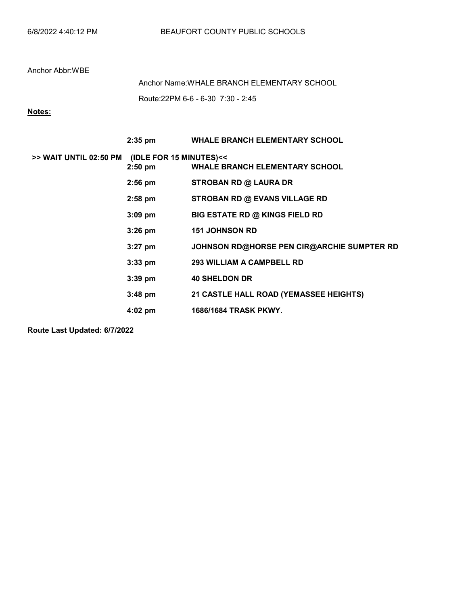Route:22PM 6-6 - 6-30 7:30 - 2:45 Anchor Name:WHALE BRANCH ELEMENTARY SCHOOL

# Notes:

|                                                | $2:35$ pm | <b>WHALE BRANCH ELEMENTARY SCHOOL</b>      |
|------------------------------------------------|-----------|--------------------------------------------|
| >> WAIT UNTIL 02:50 PM (IDLE FOR 15 MINUTES)<< | $2:50$ pm | <b>WHALE BRANCH ELEMENTARY SCHOOL</b>      |
|                                                | $2:56$ pm | <b>STROBAN RD @ LAURA DR</b>               |
|                                                | $2:58$ pm | STROBAN RD @ EVANS VILLAGE RD              |
|                                                | $3:09$ pm | <b>BIG ESTATE RD @ KINGS FIELD RD</b>      |
|                                                | $3:26$ pm | <b>151 JOHNSON RD</b>                      |
|                                                | $3:27$ pm | JOHNSON RD@HORSE PEN CIR@ARCHIE SUMPTER RD |
|                                                | $3:33$ pm | <b>293 WILLIAM A CAMPBELL RD</b>           |
|                                                | $3:39$ pm | <b>40 SHELDON DR</b>                       |
|                                                | $3:48$ pm | 21 CASTLE HALL ROAD (YEMASSEE HEIGHTS)     |
|                                                | 4:02 pm   | 1686/1684 TRASK PKWY.                      |

Route Last Updated: 6/7/2022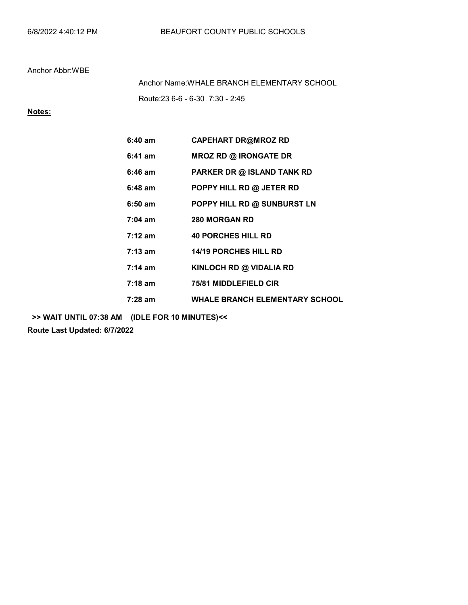Route:23 6-6 - 6-30 7:30 - 2:45 Anchor Name:WHALE BRANCH ELEMENTARY SCHOOL

# Notes:

| $6:40 \text{ am}$ | <b>CAPEHART DR@MROZ RD</b>            |
|-------------------|---------------------------------------|
| $6:41$ am         | <b>MROZ RD @ IRONGATE DR</b>          |
| $6:46$ am         | PARKER DR @ ISLAND TANK RD            |
| 6:48 am           | POPPY HILL RD @ JETER RD              |
| $6:50$ am         | POPPY HILL RD @ SUNBURST LN           |
| $7:04 \text{ am}$ | <b>280 MORGAN RD</b>                  |
| $7:12 \text{ am}$ | <b>40 PORCHES HILL RD</b>             |
| $7:13 \text{ am}$ | <b>14/19 PORCHES HILL RD</b>          |
| $7:14 \text{ am}$ | KINLOCH RD @ VIDALIA RD               |
| $7:18 \text{ am}$ | <b>75/81 MIDDLEFIELD CIR</b>          |
| 7:28 am           | <b>WHALE BRANCH ELEMENTARY SCHOOL</b> |

>> WAIT UNTIL 07:38 AM (IDLE FOR 10 MINUTES)<<

Route Last Updated: 6/7/2022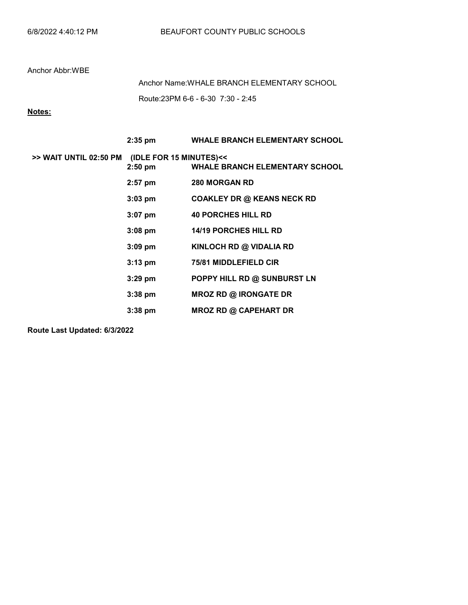Route:23PM 6-6 - 6-30 7:30 - 2:45 Anchor Name:WHALE BRANCH ELEMENTARY SCHOOL

# Notes:

|                        | $2:35$ pm                            | <b>WHALE BRANCH ELEMENTARY SCHOOL</b> |
|------------------------|--------------------------------------|---------------------------------------|
| >> WAIT UNTIL 02:50 PM | (IDLE FOR 15 MINUTES)<<<br>$2:50$ pm | <b>WHALE BRANCH ELEMENTARY SCHOOL</b> |
|                        | $2:57$ pm                            | <b>280 MORGAN RD</b>                  |
|                        | $3:03$ pm                            | <b>COAKLEY DR @ KEANS NECK RD</b>     |
|                        | $3:07$ pm                            | <b>40 PORCHES HILL RD</b>             |
|                        | $3:08$ pm                            | <b>14/19 PORCHES HILL RD</b>          |
|                        | $3:09$ pm                            | KINLOCH RD @ VIDALIA RD               |
|                        | $3:13$ pm                            | <b>75/81 MIDDLEFIELD CIR</b>          |
|                        | $3:29$ pm                            | POPPY HILL RD @ SUNBURST LN           |
|                        | $3:38$ pm                            | <b>MROZ RD @ IRONGATE DR</b>          |
|                        | $3:38$ pm                            | <b>MROZ RD @ CAPEHART DR</b>          |

Route Last Updated: 6/3/2022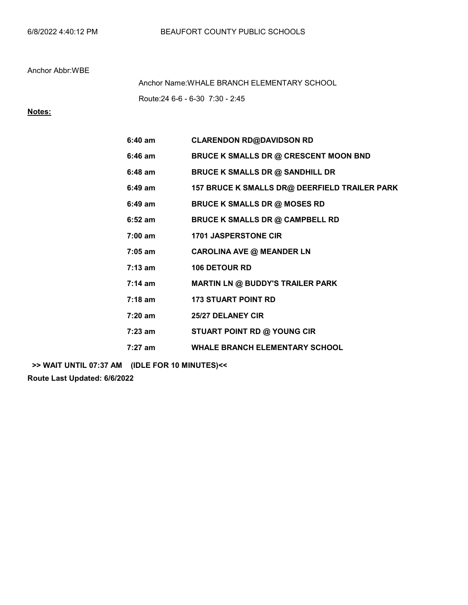Route:24 6-6 - 6-30 7:30 - 2:45 Anchor Name:WHALE BRANCH ELEMENTARY SCHOOL

# Notes:

| $6:40$ am         | <b>CLARENDON RD@DAVIDSON RD</b>               |
|-------------------|-----------------------------------------------|
| $6:46$ am         | <b>BRUCE K SMALLS DR @ CRESCENT MOON BND</b>  |
| $6:48$ am         | <b>BRUCE K SMALLS DR @ SANDHILL DR</b>        |
| $6:49$ am         | 157 BRUCE K SMALLS DR@ DEERFIELD TRAILER PARK |
| $6:49$ am         | <b>BRUCE K SMALLS DR @ MOSES RD</b>           |
| $6:52$ am         | <b>BRUCE K SMALLS DR @ CAMPBELL RD</b>        |
| $7:00$ am         | <b>1701 JASPERSTONE CIR</b>                   |
| $7:05$ am         | <b>CAROLINA AVE @ MEANDER LN</b>              |
| $7:13 \text{ am}$ | <b>106 DETOUR RD</b>                          |
| $7:14 \text{ am}$ | <b>MARTIN LN @ BUDDY'S TRAILER PARK</b>       |
| $7:18$ am         | <b>173 STUART POINT RD</b>                    |
| 7:20 am           | 25/27 DELANEY CIR                             |
| 7:23 am           | STUART POINT RD @ YOUNG CIR                   |
| $7:27$ am         | <b>WHALE BRANCH ELEMENTARY SCHOOL</b>         |

>> WAIT UNTIL 07:37 AM (IDLE FOR 10 MINUTES)<<

Route Last Updated: 6/6/2022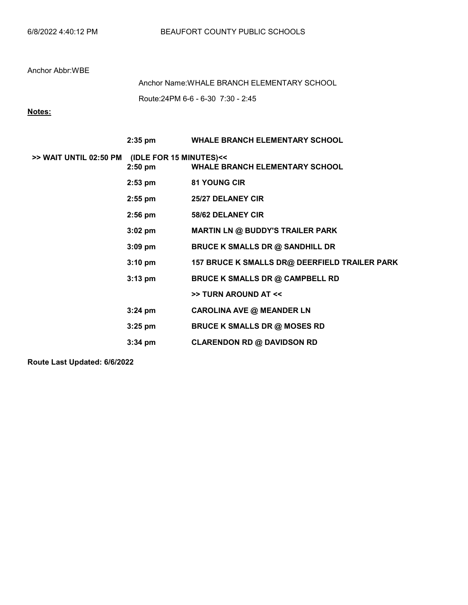Route:24PM 6-6 - 6-30 7:30 - 2:45 Anchor Name:WHALE BRANCH ELEMENTARY SCHOOL

# Notes:

|                                                | $2:35$ pm         | <b>WHALE BRANCH ELEMENTARY SCHOOL</b>         |
|------------------------------------------------|-------------------|-----------------------------------------------|
| >> WAIT UNTIL 02:50 PM (IDLE FOR 15 MINUTES)<< | $2:50$ pm         | <b>WHALE BRANCH ELEMENTARY SCHOOL</b>         |
|                                                | $2:53$ pm         | <b>81 YOUNG CIR</b>                           |
|                                                | $2:55$ pm         | <b>25/27 DELANEY CIR</b>                      |
|                                                | $2:56$ pm         | 58/62 DELANEY CIR                             |
|                                                | $3:02$ pm         | <b>MARTIN LN @ BUDDY'S TRAILER PARK</b>       |
|                                                | $3:09$ pm         | <b>BRUCE K SMALLS DR @ SANDHILL DR</b>        |
|                                                | $3:10 \text{ pm}$ | 157 BRUCE K SMALLS DR@ DEERFIELD TRAILER PARK |
|                                                | $3:13$ pm         | <b>BRUCE K SMALLS DR @ CAMPBELL RD</b>        |
|                                                |                   | >> TURN AROUND AT <<                          |
|                                                | $3:24$ pm         | <b>CAROLINA AVE @ MEANDER LN</b>              |
|                                                | $3:25$ pm         | <b>BRUCE K SMALLS DR @ MOSES RD</b>           |
|                                                | $3:34$ pm         | <b>CLARENDON RD @ DAVIDSON RD</b>             |

Route Last Updated: 6/6/2022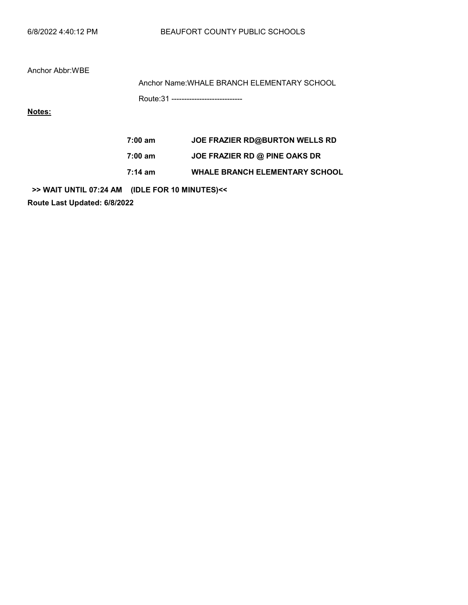Anchor Name:WHALE BRANCH ELEMENTARY SCHOOL

Route:31 ----------------------------

Notes:

7:00 am JOE FRAZIER RD@BURTON WELLS RD 7:00 am JOE FRAZIER RD @ PINE OAKS DR 7:14 am WHALE BRANCH ELEMENTARY SCHOOL

>> WAIT UNTIL 07:24 AM (IDLE FOR 10 MINUTES)<<

Route Last Updated: 6/8/2022